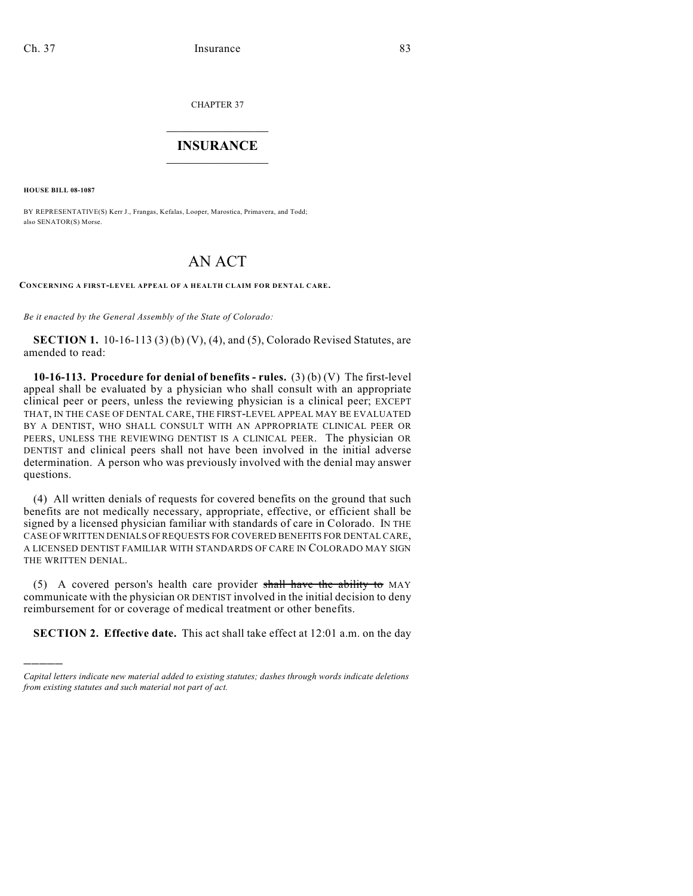CHAPTER 37

## $\overline{\phantom{a}}$  . The set of the set of the set of the set of the set of the set of the set of the set of the set of the set of the set of the set of the set of the set of the set of the set of the set of the set of the set o **INSURANCE**  $\frac{1}{2}$  ,  $\frac{1}{2}$  ,  $\frac{1}{2}$  ,  $\frac{1}{2}$  ,  $\frac{1}{2}$  ,  $\frac{1}{2}$  ,  $\frac{1}{2}$

**HOUSE BILL 08-1087**

)))))

BY REPRESENTATIVE(S) Kerr J., Frangas, Kefalas, Looper, Marostica, Primavera, and Todd; also SENATOR(S) Morse.

## AN ACT

**CONCERNING A FIRST-LEVEL APPEAL OF A HEALTH CLAIM FOR DENTAL CARE.**

*Be it enacted by the General Assembly of the State of Colorado:*

**SECTION 1.** 10-16-113 (3) (b) (V), (4), and (5), Colorado Revised Statutes, are amended to read:

**10-16-113. Procedure for denial of benefits - rules.** (3) (b) (V) The first-level appeal shall be evaluated by a physician who shall consult with an appropriate clinical peer or peers, unless the reviewing physician is a clinical peer; EXCEPT THAT, IN THE CASE OF DENTAL CARE, THE FIRST-LEVEL APPEAL MAY BE EVALUATED BY A DENTIST, WHO SHALL CONSULT WITH AN APPROPRIATE CLINICAL PEER OR PEERS, UNLESS THE REVIEWING DENTIST IS A CLINICAL PEER. The physician OR DENTIST and clinical peers shall not have been involved in the initial adverse determination. A person who was previously involved with the denial may answer questions.

(4) All written denials of requests for covered benefits on the ground that such benefits are not medically necessary, appropriate, effective, or efficient shall be signed by a licensed physician familiar with standards of care in Colorado. IN THE CASE OFWRITTEN DENIALS OF REQUESTS FOR COVERED BENEFITS FOR DENTAL CARE, A LICENSED DENTIST FAMILIAR WITH STANDARDS OF CARE IN COLORADO MAY SIGN THE WRITTEN DENIAL.

(5) A covered person's health care provider shall have the ability to MAY communicate with the physician OR DENTIST involved in the initial decision to deny reimbursement for or coverage of medical treatment or other benefits.

**SECTION 2. Effective date.** This act shall take effect at 12:01 a.m. on the day

*Capital letters indicate new material added to existing statutes; dashes through words indicate deletions from existing statutes and such material not part of act.*